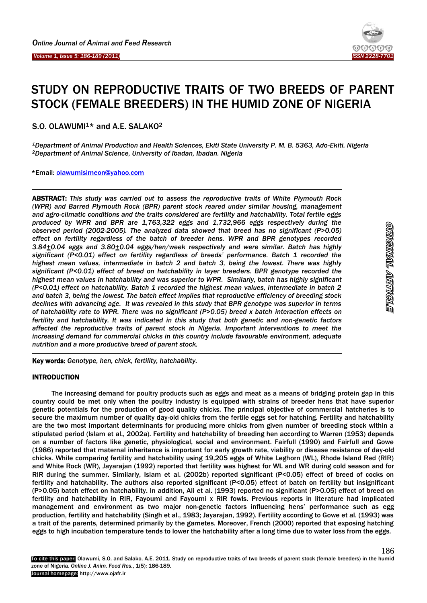Ϊ



# STUDY ON REPRODUCTIVE TRAITS OF TWO BREEDS OF PARENT STOCK (FEMALE BREEDERS) IN THE HUMID ZONE OF NIGERIA

S.O. OLAWUMI<sup>1\*</sup> and A.E. SALAKO<sup>2</sup>

*<sup>1</sup>Department of Animal Production and Health Sciences, Ekiti State University P. M. B. 5363, Ado-Ekiti. Nigeria <sup>2</sup>Department of Animal Science, University of Ibadan, Ibadan. Nigeria*

\*Email: [olawumisimeon@yahoo.com](mailto:olawumisimeon@yahoo.com)

ABSTRACT: *This study was carried out to assess the reproductive traits of White Plymouth Rock (WPR) and Barred Plymouth Rock (BPR) parent stock reared under similar housing, management and agro-climatic conditions and the traits considered are fertility and hatchability. Total fertile eggs produced by WPR and BPR are 1,763,322 eggs and 1,732,966 eggs respectively during the observed period (2002-2005). The analyzed data showed that breed has no significant (P>0.05) effect on fertility regardless of the batch of breeder hens. WPR and BPR genotypes recorded 3.84±0.04 eggs and 3.80±0.04 eggs/hen/week respectively and were similar. Batch has highly significant (P<0.01) effect on fertility regardless of breeds' performance. Batch 1 recorded the highest mean values, intermediate in batch 2 and batch 3, being the lowest. There was highly significant (P<0.01) effect of breed on hatchability in layer breeders. BPR genotype recorded the highest mean values in hatchability and was superior to WPR. Similarly, batch has highly significant (P<0.01) effect on hatchability. Batch 1 recorded the highest mean values, intermediate in batch 2 and batch 3, being the lowest. The batch effect implies that reproductive efficiency of breeding stock declines with advancing age. It was revealed in this study that BPR genotype was superior in terms of hatchability rate to WPR. There was no significant (P>0.05) breed x batch interaction effects on fertility and hatchability. It was indicated in this study that both genetic and non-genetic factors affected the reproductive traits of parent stock in Nigeria. Important interventions to meet the increasing demand for commercial chicks in this country include favourable environment, adequate nutrition and a more productive breed of parent stock.*

Key words: *Genotype, hen, chick, fertility, hatchability.*

## INTRODUCTION

The increasing demand for poultry products such as eggs and meat as a means of bridging protein gap in this country could be met only when the poultry industry is equipped with strains of breeder hens that have superior genetic potentials for the production of good quality chicks. The principal objective of commercial hatcheries is to secure the maximum number of quality day-old chicks from the fertile eggs set for hatching. Fertility and hatchability are the two most important determinants for producing more chicks from given number of breeding stock within a stipulated period (Islam et al., 2002a). Fertility and hatchability of breeding hen according to Warren (1953) depends on a number of factors like genetic, physiological, social and environment. Fairfull (1990) and Fairfull and Gowe (1986) reported that maternal inheritance is important for early growth rate, viability or disease resistance of day-old chicks. While comparing fertility and hatchability using 19,205 eggs of White Leghorn (WL), Rhode Island Red (RIR) and White Rock (WR), Jayarajan (1992) reported that fertility was highest for WL and WR during cold season and for RIR during the summer. Similarly, Islam et al. (2002b) reported significant (P<0.05) effect of breed of cocks on fertility and hatchability. The authors also reported significant (P<0.05) effect of batch on fertility but insignificant (P>0.05) batch effect on hatchability. In addition, Ali et al. (1993) reported no significant (P>0.05) effect of breed on fertility and hatchability in RIR, Fayoumi and Fayoumi x RIR fowls. Previous reports in literature had implicated management and environment as two major non-genetic factors influencing hens' performance such as egg production, fertility and hatchability (Singh et al., 1983; Jayarajan, 1992). Fertility according to Gowe et al. (1993) was a trait of the parents, determined primarily by the gametes. Moreover, French (2000) reported that exposing hatching eggs to high incubation temperature tends to lower the hatchability after a long time due to water loss from the eggs.

<u>STIGNAR</u>T TIKNIGNYO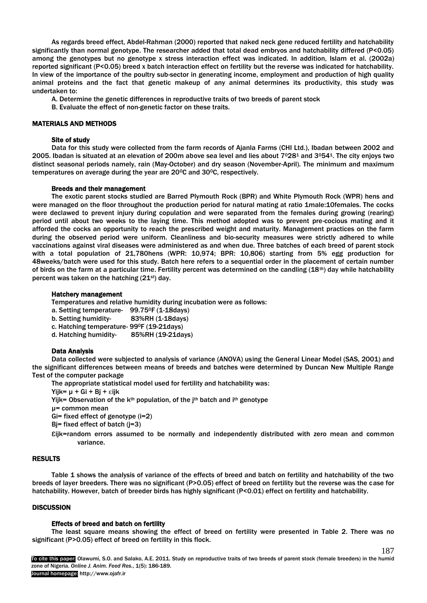As regards breed effect, Abdel-Rahman (2000) reported that naked neck gene reduced fertility and hatchability significantly than normal genotype. The researcher added that total dead embryos and hatchability differed (P<0.05) among the genotypes but no genotype x stress interaction effect was indicated. In addition, Islam et al. (2002a) reported significant (P<0.05) breed x batch interaction effect on fertility but the reverse was indicated for hatchability. In view of the importance of the poultry sub-sector in generating income, employment and production of high quality animal proteins and the fact that genetic makeup of any animal determines its productivity, this study was undertaken to:

A. Determine the genetic differences in reproductive traits of two breeds of parent stock

B. Evaluate the effect of non-genetic factor on these traits.

## MATERIALS AND METHODS

## Site of study

Data for this study were collected from the farm records of Ajanla Farms (CHI Ltd.), Ibadan between 2002 and 2005. Ibadan is situated at an elevation of 200m above sea level and lies about  $7^028^1$  and  $3^054^1$ . The city enjoys two distinct seasonal periods namely, rain (May-October) and dry season (November-April). The minimum and maximum temperatures on average during the year are 20°C and 30°C, respectively.

### Breeds and their management

The exotic parent stocks studied are Barred Plymouth Rock (BPR) and White Plymouth Rock (WPR) hens and were managed on the floor throughout the production period for natural mating at ratio 1male:10females. The cocks were declawed to prevent injury during copulation and were separated from the females during growing (rearing) period until about two weeks to the laying time. This method adopted was to prevent pre-cocious mating and it afforded the cocks an opportunity to reach the prescribed weight and maturity. Management practices on the farm during the observed period were uniform. Cleanliness and bio-security measures were strictly adhered to while vaccinations against viral diseases were administered as and when due. Three batches of each breed of parent stock with a total population of 21,780hens (WPR: 10,974; BPR: 10,806) starting from 5% egg production for 48weeks/batch were used for this study. Batch here refers to a sequential order in the placement of certain number of birds on the farm at a particular time. Fertility percent was determined on the candling (18<sup>th</sup>) day while hatchability percent was taken on the hatching (21st) day.

#### Hatchery management

Temperatures and relative humidity during incubation were as follows:

a. Setting temperature- 99.750F (1-18days)

b. Setting humidity-<br>
83%RH (1-18days)

- c. Hatching temperature- 990F (19-21days)
- d. Hatching humidity- 85%RH (19-21days)

### Data Analysis

Data collected were subjected to analysis of variance (ANOVA) using the General Linear Model (SAS, 2001) and the significant differences between means of breeds and batches were determined by Duncan New Multiple Range Test of the computer package

The appropriate statistical model used for fertility and hatchability was:

Yiik=  $\mu$  + Gi + Bi +  $\varepsilon$ ijk

Yijk= Observation of the  $k<sup>th</sup>$  population, of the  $i<sup>th</sup>$  batch and  $i<sup>th</sup>$  genotype

µ= common mean

Gi= fixed effect of genotype (i=2)

Bj= fixed effect of batch  $(j=3)$ 

ɛijk=random errors assumed to be normally and independently distributed with zero mean and common variance.

# RESULTS

Table 1 shows the analysis of variance of the effects of breed and batch on fertility and hatchability of the two breeds of layer breeders. There was no significant (P>0.05) effect of breed on fertility but the reverse was the case for hatchability. However, batch of breeder birds has highly significant (P<0.01) effect on fertility and hatchability.

## **DISCUSSION**

### Effects of breed and batch on fertility

The least square means showing the effect of breed on fertility were presented in Table 2. There was no significant (P>0.05) effect of breed on fertility in this flock.

187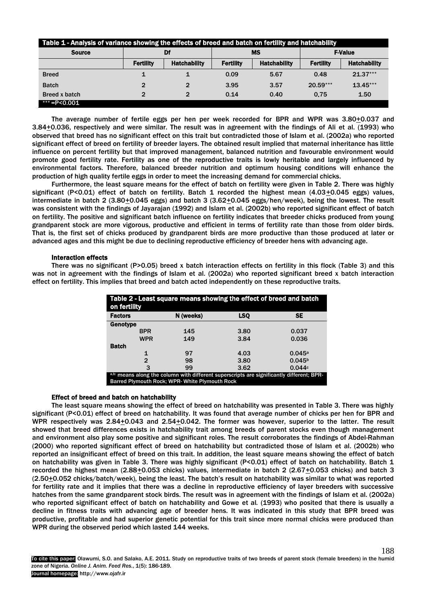| Table 1 - Analysis of variance showing the effects of breed and batch on fertility and hatchability |                  |                     |                  |                     |                  |                     |  |  |
|-----------------------------------------------------------------------------------------------------|------------------|---------------------|------------------|---------------------|------------------|---------------------|--|--|
| <b>Source</b>                                                                                       |                  | Df                  | <b>MS</b>        |                     | <b>F-Value</b>   |                     |  |  |
|                                                                                                     | <b>Fertility</b> | <b>Hatchability</b> | <b>Fertility</b> | <b>Hatchability</b> | <b>Fertility</b> | <b>Hatchability</b> |  |  |
| <b>Breed</b>                                                                                        | 1                |                     | 0.09             | 5.67                | 0.48             | $21.37***$          |  |  |
| <b>Batch</b>                                                                                        | $\overline{2}$   | $\overline{2}$      | 3.95             | 3.57                | $20.59***$       | $13.45***$          |  |  |
| Breed x batch                                                                                       | $\overline{2}$   | $\overline{2}$      | 0.14             | 0.40                | 0.75             | 1.50                |  |  |
| *** = $P < 0.001$                                                                                   |                  |                     |                  |                     |                  |                     |  |  |

The average number of fertile eggs per hen per week recorded for BPR and WPR was 3.80+0.037 and 3.84 + 0.036, respectively and were similar. The result was in agreement with the findings of Ali et al. (1993) who observed that breed has no significant effect on this trait but contradicted those of Islam et al. (2002a) who reported significant effect of breed on fertility of breeder layers. The obtained result implied that maternal inheritance has little influence on percent fertility but that improved management, balanced nutrition and favourable environment would promote good fertility rate. Fertility as one of the reproductive traits is lowly heritable and largely influenced by environmental factors. Therefore, balanced breeder nutrition and optimum housing conditions will enhance the production of high quality fertile eggs in order to meet the increasing demand for commercial chicks.

Furthermore, the least square means for the effect of batch on fertility were given in Table 2. There was highly significant (P<0.01) effect of batch on fertility. Batch 1 recorded the highest mean (4.03+0.045 eggs) values, intermediate in batch 2 (3.80+0.045 eggs) and batch 3 (3.62+0.045 eggs/hen/week), being the lowest. The result was consistent with the findings of Jayarajan (1992) and Islam et al. (2002b) who reported significant effect of batch on fertility. The positive and significant batch influence on fertility indicates that breeder chicks produced from young grandparent stock are more vigorous, productive and efficient in terms of fertility rate than those from older birds. That is, the first set of chicks produced by grandparent birds are more productive than those produced at later or advanced ages and this might be due to declining reproductive efficiency of breeder hens with advancing age.

## Interaction effects

There was no significant (P>0.05) breed x batch interaction effects on fertility in this flock (Table 3) and this was not in agreement with the findings of Islam et al. (2002a) who reported significant breed x batch interaction effect on fertility. This implies that breed and batch acted independently on these reproductive traits.

| Table 2 - Least square means showing the effect of breed and batch<br>on fertility                                                          |                |           |            |                    |  |  |  |
|---------------------------------------------------------------------------------------------------------------------------------------------|----------------|-----------|------------|--------------------|--|--|--|
| <b>Factors</b>                                                                                                                              |                | N (weeks) | <b>LSQ</b> | <b>SE</b>          |  |  |  |
| Genotype                                                                                                                                    |                |           |            |                    |  |  |  |
|                                                                                                                                             | <b>BPR</b>     | 145       | 3.80       | 0.037              |  |  |  |
|                                                                                                                                             | <b>WPR</b>     | 149       | 3.84       | 0.036              |  |  |  |
| <b>Batch</b>                                                                                                                                |                |           |            |                    |  |  |  |
|                                                                                                                                             |                | 97        | 4.03       | 0.045a             |  |  |  |
|                                                                                                                                             | $\overline{2}$ | 98        | 3.80       | 0.045 <sup>b</sup> |  |  |  |
|                                                                                                                                             | 3              | 99        | 3.62       | 0.044c             |  |  |  |
| a,b: means along the column with different superscripts are significantly different; BPR-<br>Barred Plymouth Rock; WPR- White Plymouth Rock |                |           |            |                    |  |  |  |

### Effect of breed and batch on hatchability

The least square means showing the effect of breed on hatchability was presented in Table 3. There was highly significant (P<0.01) effect of breed on hatchability. It was found that average number of chicks per hen for BPR and WPR respectively was 2.84+0.043 and 2.54+0.042. The former was however, superior to the latter. The result showed that breed differences exists in hatchability trait among breeds of parent stocks even though management and environment also play some positive and significant roles. The result corroborates the findings of Abdel-Rahman (2000) who reported significant effect of breed on hatchability but contradicted those of Islam et al. (2002b) who reported an insignificant effect of breed on this trait. In addition, the least square means showing the effect of batch on hatchability was given in Table 3. There was highly significant (P<0.01) effect of batch on hatchability. Batch 1 recorded the highest mean (2.88+0.053 chicks) values, intermediate in batch 2 (2.67+0.053 chicks) and batch 3 (2.50+0.052 chicks/batch/week), being the least. The batch's result on hatchability was similar to what was reported for fertility rate and it implies that there was a decline in reproductive efficiency of layer breeders with successive hatches from the same grandparent stock birds. The result was in agreement with the findings of Islam et al. (2002a) who reported significant effect of batch on hatchability and Gowe et al*.* (1993) who posited that there is usually a decline in fitness traits with advancing age of breeder hens. It was indicated in this study that BPR breed was productive, profitable and had superior genetic potential for this trait since more normal chicks were produced than WPR during the observed period which lasted 144 weeks.